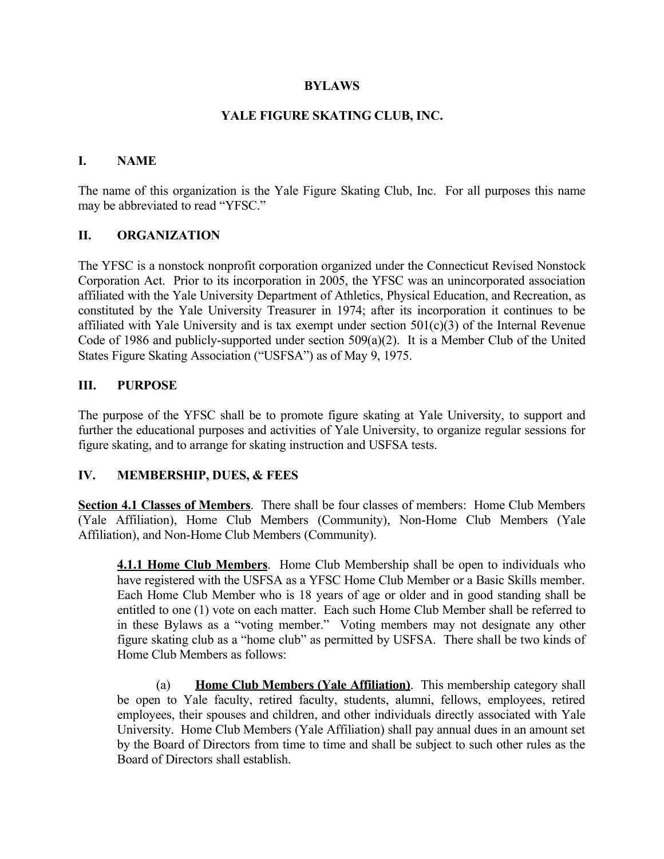#### **BYLAWS**

#### **YALE FIGURE SKATING CLUB, INC.**

#### **I. NAME**

The name of this organization is the Yale Figure Skating Club, Inc. For all purposes this name may be abbreviated to read "YFSC."

#### **II. ORGANIZATION**

The YFSC is a nonstock nonprofit corporation organized under the Connecticut Revised Nonstock Corporation Act. Prior to its incorporation in 2005, the YFSC was an unincorporated association affiliated with the Yale University Department of Athletics, Physical Education, and Recreation, as constituted by the Yale University Treasurer in 1974; after its incorporation it continues to be affiliated with Yale University and is tax exempt under section  $501(c)(3)$  of the Internal Revenue Code of 1986 and publicly-supported under section 509(a)(2). It is a Member Club of the United States Figure Skating Association ("USFSA") as of May 9, 1975.

### **III. PURPOSE**

The purpose of the YFSC shall be to promote figure skating at Yale University, to support and further the educational purposes and activities of Yale University, to organize regular sessions for figure skating, and to arrange for skating instruction and USFSA tests.

#### **IV. MEMBERSHIP, DUES, & FEES**

**Section 4.1 Classes of Members**. There shall be four classes of members: Home Club Members (Yale Affiliation), Home Club Members (Community), Non-Home Club Members (Yale Affiliation), and Non-Home Club Members (Community).

**4.1.1 Home Club Members**. Home Club Membership shall be open to individuals who have registered with the USFSA as a YFSC Home Club Member or a Basic Skills member. Each Home Club Member who is 18 years of age or older and in good standing shall be entitled to one (1) vote on each matter. Each such Home Club Member shall be referred to in these Bylaws as a "voting member." Voting members may not designate any other figure skating club as a "home club" as permitted by USFSA. There shall be two kinds of Home Club Members as follows:

(a) **Home Club Members (Yale Affiliation)**. This membership category shall be open to Yale faculty, retired faculty, students, alumni, fellows, employees, retired employees, their spouses and children, and other individuals directly associated with Yale University. Home Club Members (Yale Affiliation) shall pay annual dues in an amount set by the Board of Directors from time to time and shall be subject to such other rules as the Board of Directors shall establish.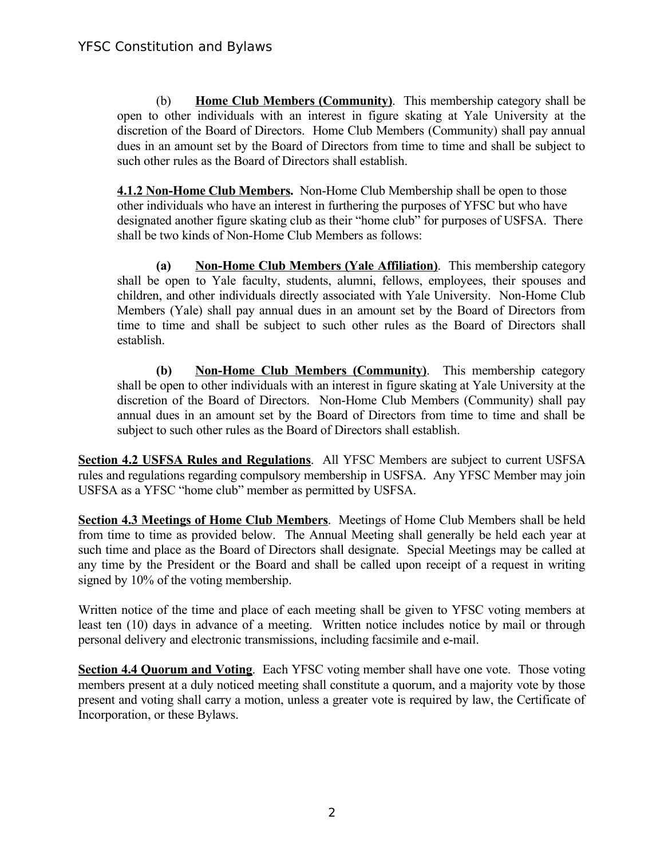(b) **Home Club Members (Community)**. This membership category shall be open to other individuals with an interest in figure skating at Yale University at the discretion of the Board of Directors. Home Club Members (Community) shall pay annual dues in an amount set by the Board of Directors from time to time and shall be subject to such other rules as the Board of Directors shall establish.

**4.1.2 Non-Home Club Members.** Non-Home Club Membership shall be open to those other individuals who have an interest in furthering the purposes of YFSC but who have designated another figure skating club as their "home club" for purposes of USFSA. There shall be two kinds of Non-Home Club Members as follows:

**(a) Non-Home Club Members (Yale Affiliation)**. This membership category shall be open to Yale faculty, students, alumni, fellows, employees, their spouses and children, and other individuals directly associated with Yale University. Non-Home Club Members (Yale) shall pay annual dues in an amount set by the Board of Directors from time to time and shall be subject to such other rules as the Board of Directors shall establish.

**(b) Non-Home Club Members (Community)**. This membership category shall be open to other individuals with an interest in figure skating at Yale University at the discretion of the Board of Directors. Non-Home Club Members (Community) shall pay annual dues in an amount set by the Board of Directors from time to time and shall be subject to such other rules as the Board of Directors shall establish.

**Section 4.2 USFSA Rules and Regulations**. All YFSC Members are subject to current USFSA rules and regulations regarding compulsory membership in USFSA. Any YFSC Member may join USFSA as a YFSC "home club" member as permitted by USFSA.

**Section 4.3 Meetings of Home Club Members**. Meetings of Home Club Members shall be held from time to time as provided below. The Annual Meeting shall generally be held each year at such time and place as the Board of Directors shall designate. Special Meetings may be called at any time by the President or the Board and shall be called upon receipt of a request in writing signed by 10% of the voting membership.

Written notice of the time and place of each meeting shall be given to YFSC voting members at least ten (10) days in advance of a meeting. Written notice includes notice by mail or through personal delivery and electronic transmissions, including facsimile and e-mail.

**Section 4.4 Quorum and Voting.** Each YFSC voting member shall have one vote. Those voting members present at a duly noticed meeting shall constitute a quorum, and a majority vote by those present and voting shall carry a motion, unless a greater vote is required by law, the Certificate of Incorporation, or these Bylaws.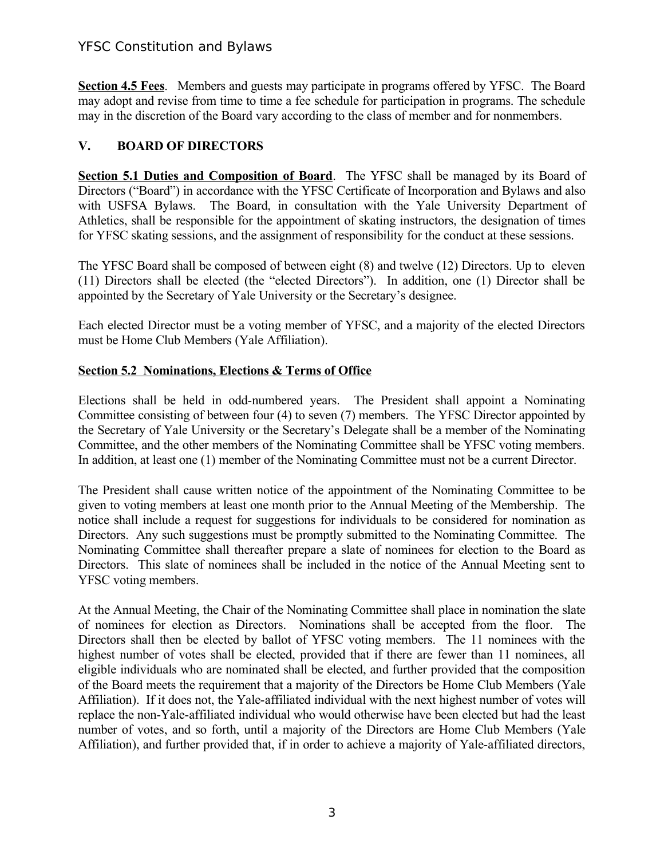# YFSC Constitution and Bylaws

**Section 4.5 Fees**. Members and guests may participate in programs offered by YFSC. The Board may adopt and revise from time to time a fee schedule for participation in programs. The schedule may in the discretion of the Board vary according to the class of member and for nonmembers.

## **V. BOARD OF DIRECTORS**

**Section 5.1 Duties and Composition of Board.** The YFSC shall be managed by its Board of Directors ("Board") in accordance with the YFSC Certificate of Incorporation and Bylaws and also with USFSA Bylaws. The Board, in consultation with the Yale University Department of Athletics, shall be responsible for the appointment of skating instructors, the designation of times for YFSC skating sessions, and the assignment of responsibility for the conduct at these sessions.

The YFSC Board shall be composed of between eight (8) and twelve (12) Directors. Up to eleven (11) Directors shall be elected (the "elected Directors"). In addition, one (1) Director shall be appointed by the Secretary of Yale University or the Secretary's designee.

Each elected Director must be a voting member of YFSC, and a majority of the elected Directors must be Home Club Members (Yale Affiliation).

## **Section 5.2 Nominations, Elections & Terms of Office**

Elections shall be held in odd-numbered years. The President shall appoint a Nominating Committee consisting of between four (4) to seven (7) members. The YFSC Director appointed by the Secretary of Yale University or the Secretary's Delegate shall be a member of the Nominating Committee, and the other members of the Nominating Committee shall be YFSC voting members. In addition, at least one (1) member of the Nominating Committee must not be a current Director.

The President shall cause written notice of the appointment of the Nominating Committee to be given to voting members at least one month prior to the Annual Meeting of the Membership. The notice shall include a request for suggestions for individuals to be considered for nomination as Directors. Any such suggestions must be promptly submitted to the Nominating Committee. The Nominating Committee shall thereafter prepare a slate of nominees for election to the Board as Directors. This slate of nominees shall be included in the notice of the Annual Meeting sent to YFSC voting members.

At the Annual Meeting, the Chair of the Nominating Committee shall place in nomination the slate of nominees for election as Directors. Nominations shall be accepted from the floor. The Directors shall then be elected by ballot of YFSC voting members. The 11 nominees with the highest number of votes shall be elected, provided that if there are fewer than 11 nominees, all eligible individuals who are nominated shall be elected, and further provided that the composition of the Board meets the requirement that a majority of the Directors be Home Club Members (Yale Affiliation). If it does not, the Yale-affiliated individual with the next highest number of votes will replace the non-Yale-affiliated individual who would otherwise have been elected but had the least number of votes, and so forth, until a majority of the Directors are Home Club Members (Yale Affiliation), and further provided that, if in order to achieve a majority of Yale-affiliated directors,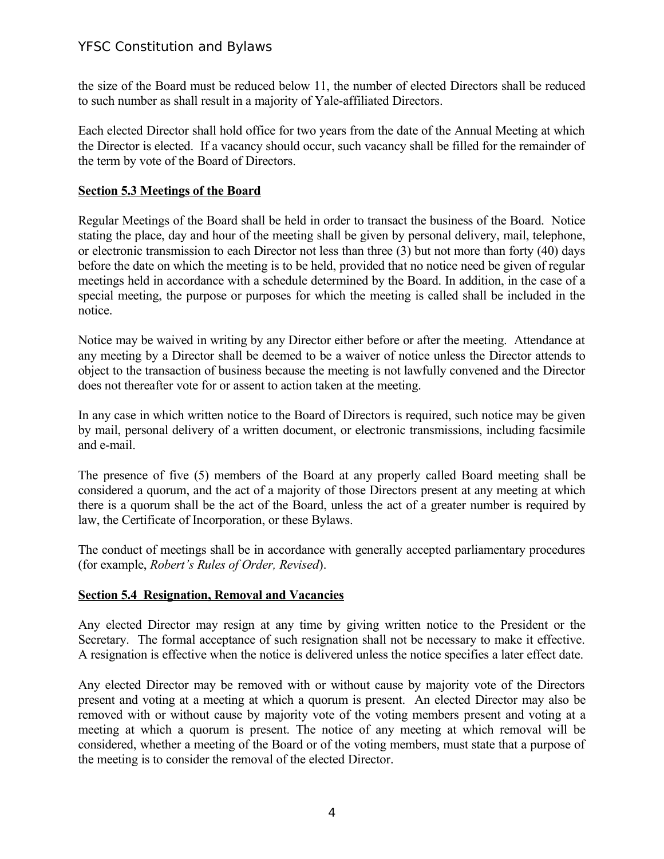# YFSC Constitution and Bylaws

the size of the Board must be reduced below 11, the number of elected Directors shall be reduced to such number as shall result in a majority of Yale-affiliated Directors.

Each elected Director shall hold office for two years from the date of the Annual Meeting at which the Director is elected. If a vacancy should occur, such vacancy shall be filled for the remainder of the term by vote of the Board of Directors.

## **Section 5.3 Meetings of the Board**

Regular Meetings of the Board shall be held in order to transact the business of the Board. Notice stating the place, day and hour of the meeting shall be given by personal delivery, mail, telephone, or electronic transmission to each Director not less than three (3) but not more than forty (40) days before the date on which the meeting is to be held, provided that no notice need be given of regular meetings held in accordance with a schedule determined by the Board. In addition, in the case of a special meeting, the purpose or purposes for which the meeting is called shall be included in the notice.

Notice may be waived in writing by any Director either before or after the meeting. Attendance at any meeting by a Director shall be deemed to be a waiver of notice unless the Director attends to object to the transaction of business because the meeting is not lawfully convened and the Director does not thereafter vote for or assent to action taken at the meeting.

In any case in which written notice to the Board of Directors is required, such notice may be given by mail, personal delivery of a written document, or electronic transmissions, including facsimile and e-mail.

The presence of five (5) members of the Board at any properly called Board meeting shall be considered a quorum, and the act of a majority of those Directors present at any meeting at which there is a quorum shall be the act of the Board, unless the act of a greater number is required by law, the Certificate of Incorporation, or these Bylaws.

The conduct of meetings shall be in accordance with generally accepted parliamentary procedures (for example, *Robert's Rules of Order, Revised*).

## **Section 5.4 Resignation, Removal and Vacancies**

Any elected Director may resign at any time by giving written notice to the President or the Secretary. The formal acceptance of such resignation shall not be necessary to make it effective. A resignation is effective when the notice is delivered unless the notice specifies a later effect date.

Any elected Director may be removed with or without cause by majority vote of the Directors present and voting at a meeting at which a quorum is present. An elected Director may also be removed with or without cause by majority vote of the voting members present and voting at a meeting at which a quorum is present. The notice of any meeting at which removal will be considered, whether a meeting of the Board or of the voting members, must state that a purpose of the meeting is to consider the removal of the elected Director.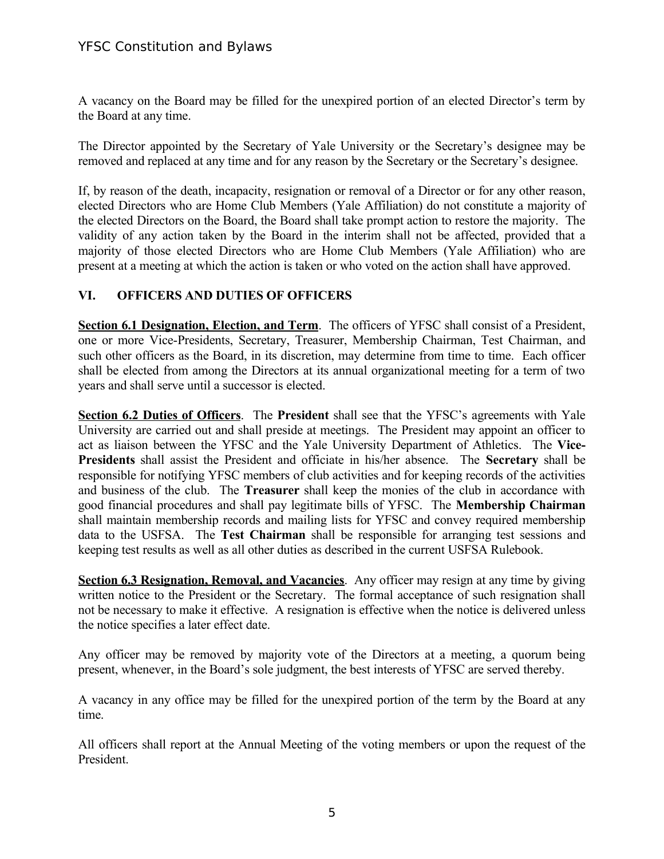A vacancy on the Board may be filled for the unexpired portion of an elected Director's term by the Board at any time.

The Director appointed by the Secretary of Yale University or the Secretary's designee may be removed and replaced at any time and for any reason by the Secretary or the Secretary's designee.

If, by reason of the death, incapacity, resignation or removal of a Director or for any other reason, elected Directors who are Home Club Members (Yale Affiliation) do not constitute a majority of the elected Directors on the Board, the Board shall take prompt action to restore the majority. The validity of any action taken by the Board in the interim shall not be affected, provided that a majority of those elected Directors who are Home Club Members (Yale Affiliation) who are present at a meeting at which the action is taken or who voted on the action shall have approved.

# **VI. OFFICERS AND DUTIES OF OFFICERS**

**Section 6.1 Designation, Election, and Term**. The officers of YFSC shall consist of a President, one or more Vice-Presidents, Secretary, Treasurer, Membership Chairman, Test Chairman, and such other officers as the Board, in its discretion, may determine from time to time. Each officer shall be elected from among the Directors at its annual organizational meeting for a term of two years and shall serve until a successor is elected.

**Section 6.2 Duties of Officers**. The **President** shall see that the YFSC's agreements with Yale University are carried out and shall preside at meetings. The President may appoint an officer to act as liaison between the YFSC and the Yale University Department of Athletics. The **Vice-Presidents** shall assist the President and officiate in his/her absence. The **Secretary** shall be responsible for notifying YFSC members of club activities and for keeping records of the activities and business of the club. The **Treasurer** shall keep the monies of the club in accordance with good financial procedures and shall pay legitimate bills of YFSC. The **Membership Chairman** shall maintain membership records and mailing lists for YFSC and convey required membership data to the USFSA. The **Test Chairman** shall be responsible for arranging test sessions and keeping test results as well as all other duties as described in the current USFSA Rulebook.

**Section 6.3 Resignation, Removal, and Vacancies**. Any officer may resign at any time by giving written notice to the President or the Secretary. The formal acceptance of such resignation shall not be necessary to make it effective. A resignation is effective when the notice is delivered unless the notice specifies a later effect date.

Any officer may be removed by majority vote of the Directors at a meeting, a quorum being present, whenever, in the Board's sole judgment, the best interests of YFSC are served thereby.

A vacancy in any office may be filled for the unexpired portion of the term by the Board at any time.

All officers shall report at the Annual Meeting of the voting members or upon the request of the President.